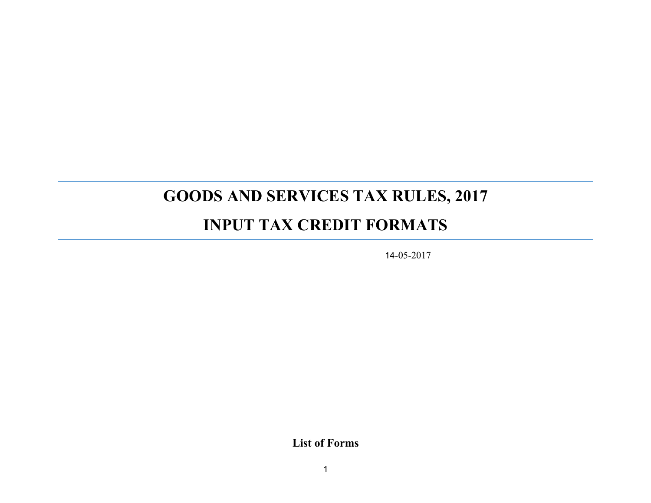# **GOODS AND SERVICES TAX RULES, 2017**

# **INPUT TAX CREDIT FORMATS**

14-05-2017

**List of Forms**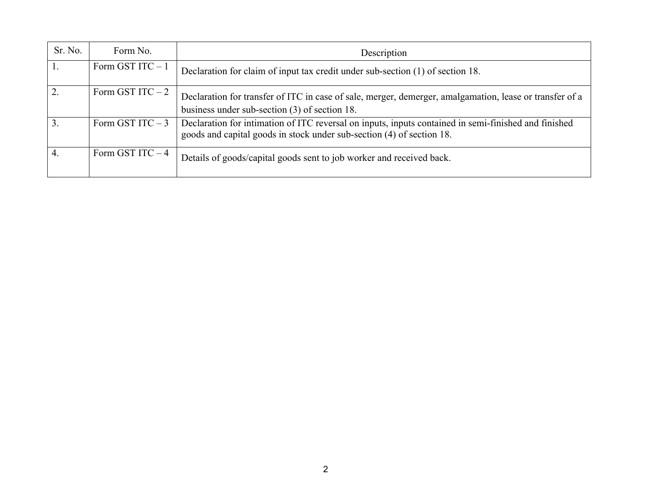| Sr. No. | Form No.          | Description                                                                                                                                                                   |
|---------|-------------------|-------------------------------------------------------------------------------------------------------------------------------------------------------------------------------|
|         | Form GST ITC $-1$ | Declaration for claim of input tax credit under sub-section (1) of section 18.                                                                                                |
| 2.      | Form GST ITC $-2$ | Declaration for transfer of ITC in case of sale, merger, demerger, amalgamation, lease or transfer of a<br>business under sub-section $(3)$ of section 18.                    |
|         | Form GST ITC $-3$ | Declaration for intimation of ITC reversal on inputs, inputs contained in semi-finished and finished<br>goods and capital goods in stock under sub-section (4) of section 18. |
| 4.      | Form GST ITC $-4$ | Details of goods/capital goods sent to job worker and received back.                                                                                                          |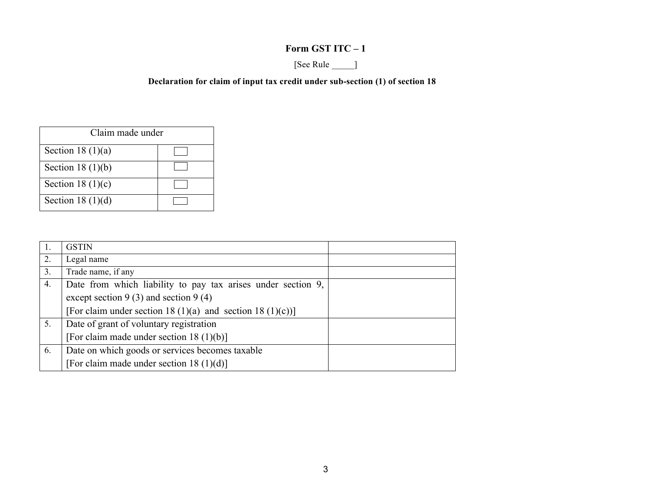#### **Form GST ITC – 1**

## [See Rule \_\_\_\_\_]

#### **Declaration for claim of input tax credit under sub-section (1) of section 18**

| Claim made under    |  |
|---------------------|--|
| Section 18 $(1)(a)$ |  |
| Section 18 $(1)(b)$ |  |
| Section 18 $(1)(c)$ |  |
| Section 18 $(1)(d)$ |  |

|    | <b>GSTIN</b>                                                 |  |
|----|--------------------------------------------------------------|--|
| 2. | Legal name                                                   |  |
| 3. | Trade name, if any                                           |  |
| 4. | Date from which liability to pay tax arises under section 9, |  |
|    | except section $9(3)$ and section $9(4)$                     |  |
|    | [For claim under section 18 (1)(a) and section 18 (1)(c))]   |  |
| 5. | Date of grant of voluntary registration                      |  |
|    | [For claim made under section 18 $(1)(b)$ ]                  |  |
| 6. | Date on which goods or services becomes taxable              |  |
|    | [For claim made under section 18 $(1)(d)$ ]                  |  |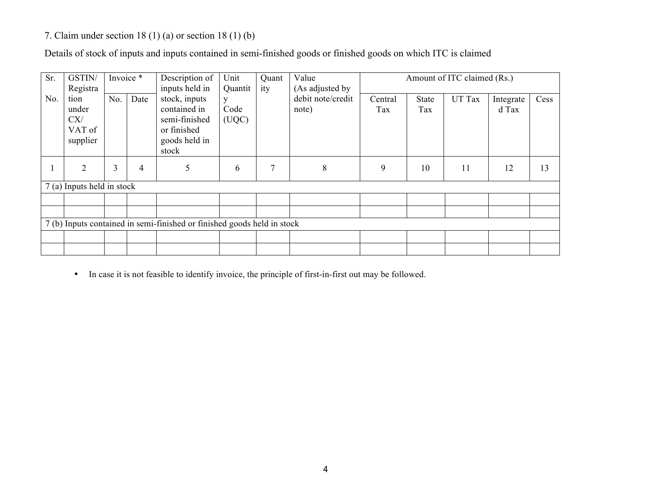#### 7. Claim under section 18 (1) (a) or section 18 (1) (b)

Details of stock of inputs and inputs contained in semi-finished goods or finished goods on which ITC is claimed

| Sr. | GSTIN/                                                                  | Invoice * |      | Description of                                                                                            | Unit                          | Quant | Value                                         |                |              | Amount of ITC claimed (Rs.) |                    |      |
|-----|-------------------------------------------------------------------------|-----------|------|-----------------------------------------------------------------------------------------------------------|-------------------------------|-------|-----------------------------------------------|----------------|--------------|-----------------------------|--------------------|------|
| No. | Registra<br>tion<br>under<br>CX/<br>VAT of<br>supplier                  | No.       | Date | inputs held in<br>stock, inputs<br>contained in<br>semi-finished<br>or finished<br>goods held in<br>stock | Quantit<br>y<br>Code<br>(UQC) | ity   | (As adjusted by<br>debit note/credit<br>note) | Central<br>Tax | State<br>Tax | UT Tax                      | Integrate<br>d Tax | Cess |
|     | 2                                                                       | 3         | 4    | 5                                                                                                         | 6                             | 7     | 8                                             | 9              | 10           | 11                          | 12                 | 13   |
|     | 7 (a) Inputs held in stock                                              |           |      |                                                                                                           |                               |       |                                               |                |              |                             |                    |      |
|     |                                                                         |           |      |                                                                                                           |                               |       |                                               |                |              |                             |                    |      |
|     |                                                                         |           |      |                                                                                                           |                               |       |                                               |                |              |                             |                    |      |
|     | 7 (b) Inputs contained in semi-finished or finished goods held in stock |           |      |                                                                                                           |                               |       |                                               |                |              |                             |                    |      |
|     |                                                                         |           |      |                                                                                                           |                               |       |                                               |                |              |                             |                    |      |
|     |                                                                         |           |      |                                                                                                           |                               |       |                                               |                |              |                             |                    |      |

• In case it is not feasible to identify invoice, the principle of first-in-first out may be followed.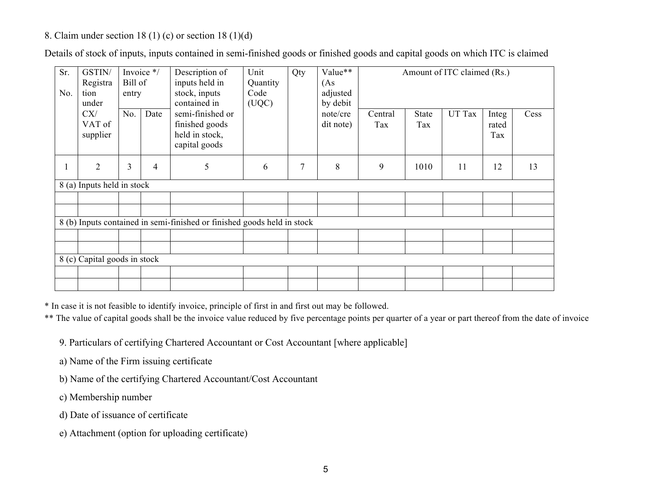#### 8. Claim under section 18 (1) (c) or section 18 (1)(d)

| Sr.<br>No. | GSTIN/<br>Registra<br>tion<br>under | Bill of<br>entry             | Invoice */ | Description of<br>Unit<br>inputs held in<br>Quantity<br>stock, inputs<br>Code<br>contained in<br>(UQC) |   | Qty | Value**<br>(As<br>adjusted<br>by debit |                |                     | Amount of ITC claimed (Rs.) |                       |      |
|------------|-------------------------------------|------------------------------|------------|--------------------------------------------------------------------------------------------------------|---|-----|----------------------------------------|----------------|---------------------|-----------------------------|-----------------------|------|
|            | CX/<br>VAT of<br>supplier           | No.                          | Date       | semi-finished or<br>finished goods<br>held in stock,<br>capital goods                                  |   |     | note/cre<br>dit note)                  | Central<br>Tax | <b>State</b><br>Tax | UT Tax                      | Integ<br>rated<br>Tax | Cess |
| $\bf{l}$   | $\overline{2}$                      | 3<br>4                       |            | 5                                                                                                      | 6 | 7   | 8                                      | 9              | 1010                | 11                          | 12                    | 13   |
|            | 8 (a) Inputs held in stock          |                              |            |                                                                                                        |   |     |                                        |                |                     |                             |                       |      |
|            |                                     |                              |            |                                                                                                        |   |     |                                        |                |                     |                             |                       |      |
|            |                                     |                              |            | 8 (b) Inputs contained in semi-finished or finished goods held in stock                                |   |     |                                        |                |                     |                             |                       |      |
|            |                                     |                              |            |                                                                                                        |   |     |                                        |                |                     |                             |                       |      |
|            |                                     |                              |            |                                                                                                        |   |     |                                        |                |                     |                             |                       |      |
|            |                                     | 8 (c) Capital goods in stock |            |                                                                                                        |   |     |                                        |                |                     |                             |                       |      |
|            |                                     |                              |            |                                                                                                        |   |     |                                        |                |                     |                             |                       |      |
|            |                                     |                              |            |                                                                                                        |   |     |                                        |                |                     |                             |                       |      |

Details of stock of inputs, inputs contained in semi-finished goods or finished goods and capital goods on which ITC is claimed

\* In case it is not feasible to identify invoice, principle of first in and first out may be followed.

\*\* The value of capital goods shall be the invoice value reduced by five percentage points per quarter of a year or part thereof from the date of invoice

9. Particulars of certifying Chartered Accountant or Cost Accountant [where applicable]

- a) Name of the Firm issuing certificate
- b) Name of the certifying Chartered Accountant/Cost Accountant
- c) Membership number
- d) Date of issuance of certificate
- e) Attachment (option for uploading certificate)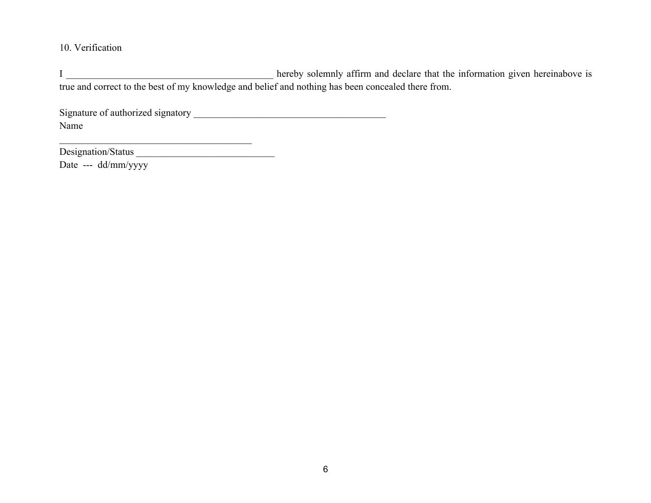#### 10. Verification

I \_\_\_\_\_\_\_\_\_\_\_\_\_\_\_\_\_\_\_\_\_\_\_\_\_\_\_\_\_\_\_\_\_\_\_\_\_\_\_\_\_\_ hereby solemnly affirm and declare that the information given hereinabove is true and correct to the best of my knowledge and belief and nothing has been concealed there from.

Signature of authorized signatory **with an all the set of authorized signatory**  $\blacksquare$ Name

Designation/Status \_\_\_\_\_\_\_\_\_\_\_\_\_\_\_\_\_\_\_\_\_\_\_\_\_\_\_\_

Date --- dd/mm/yyyy

\_\_\_\_\_\_\_\_\_\_\_\_\_\_\_\_\_\_\_\_\_\_\_\_\_\_\_\_\_\_\_\_\_\_\_\_\_\_\_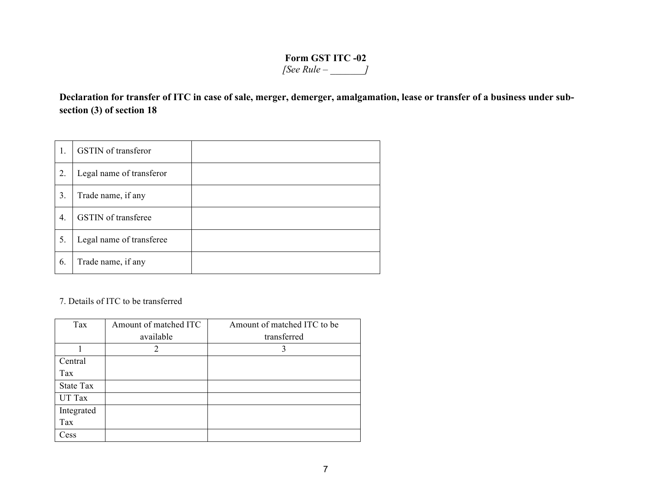### **Form GST ITC -02** *[See Rule – \_\_\_\_\_\_\_]*

**Declaration for transfer of ITC in case of sale, merger, demerger, amalgamation, lease or transfer of a business under subsection (3) of section 18**

|    | GSTIN of transferor        |  |
|----|----------------------------|--|
| 2. | Legal name of transferor   |  |
| 3. | Trade name, if any         |  |
| 4. | <b>GSTIN</b> of transferee |  |
| 5. | Legal name of transferee   |  |
| 6. | Trade name, if any         |  |

7. Details of ITC to be transferred

| Tax        | Amount of matched ITC | Amount of matched ITC to be |
|------------|-----------------------|-----------------------------|
|            | available             | transferred                 |
|            | 2                     |                             |
| Central    |                       |                             |
| Tax        |                       |                             |
| State Tax  |                       |                             |
| UT Tax     |                       |                             |
| Integrated |                       |                             |
| Tax        |                       |                             |
| Cess       |                       |                             |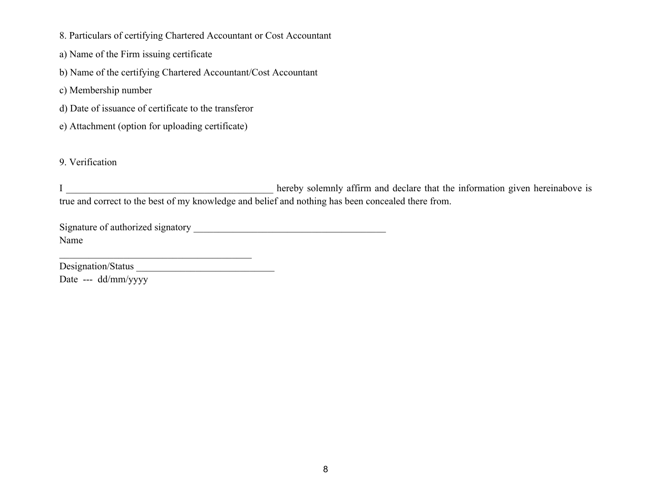- 8. Particulars of certifying Chartered Accountant or Cost Accountant
- a) Name of the Firm issuing certificate
- b) Name of the certifying Chartered Accountant/Cost Accountant
- c) Membership number
- d) Date of issuance of certificate to the transferor
- e) Attachment (option for uploading certificate)

#### 9. Verification

I \_\_\_\_\_\_\_\_\_\_\_\_\_\_\_\_\_\_\_\_\_\_\_\_\_\_\_\_\_\_\_\_\_\_\_\_\_\_\_\_\_\_ hereby solemnly affirm and declare that the information given hereinabove is true and correct to the best of my knowledge and belief and nothing has been concealed there from.

Signature of authorized signatory \_\_\_\_\_\_\_\_\_\_\_\_\_\_\_\_\_\_\_\_\_\_\_\_\_\_\_\_\_\_\_\_\_\_\_\_\_\_\_ Name

\_\_\_\_\_\_\_\_\_\_\_\_\_\_\_\_\_\_\_\_\_\_\_\_\_\_\_\_\_\_\_\_\_\_\_\_\_\_\_

Designation/Status \_\_\_\_\_\_\_\_\_\_\_\_\_\_\_\_\_\_\_\_\_\_\_\_\_\_\_\_ Date --- dd/mm/yyyy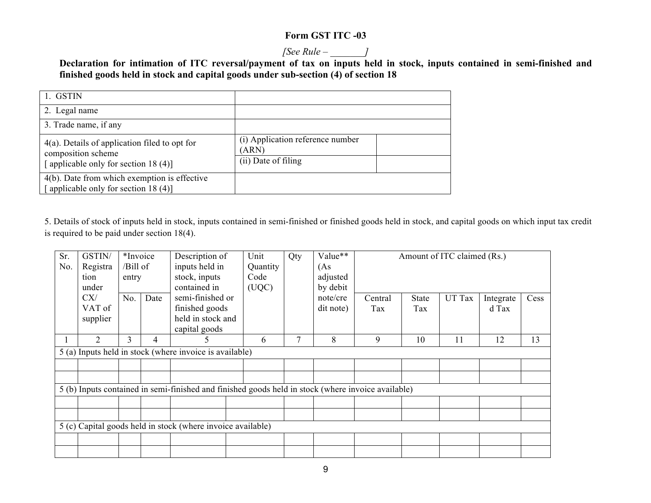#### **Form GST ITC -03**

#### *[See Rule – \_\_\_\_\_\_\_]*

**Declaration for intimation of ITC reversal/payment of tax on inputs held in stock, inputs contained in semi-finished and finished goods held in stock and capital goods under sub-section (4) of section 18**

| 1. GSTIN                                                                                                          |                                                                  |
|-------------------------------------------------------------------------------------------------------------------|------------------------------------------------------------------|
| 2. Legal name                                                                                                     |                                                                  |
| 3. Trade name, if any                                                                                             |                                                                  |
| $4(a)$ . Details of application filed to opt for<br>composition scheme<br>[applicable only for section 18 $(4)$ ] | (i) Application reference number<br>(ARN)<br>(ii) Date of filing |
| $4(b)$ . Date from which exemption is effective<br>[ applicable only for section 18 $(4)$ ]                       |                                                                  |

5. Details of stock of inputs held in stock, inputs contained in semi-finished or finished goods held in stock, and capital goods on which input tax credit is required to be paid under section 18(4).

| Sr.          | GSTIN/                                                      | *Invoice |      | Description of                                                                                     | Unit     | Qty | Value**   |         | Amount of ITC claimed (Rs.) |        |           |      |
|--------------|-------------------------------------------------------------|----------|------|----------------------------------------------------------------------------------------------------|----------|-----|-----------|---------|-----------------------------|--------|-----------|------|
| No.          | Registra                                                    | /Bill of |      | inputs held in                                                                                     | Quantity |     | (As       |         |                             |        |           |      |
|              | tion                                                        | entry    |      | stock, inputs                                                                                      | Code     |     | adjusted  |         |                             |        |           |      |
|              | under                                                       |          |      | contained in                                                                                       | (UQC)    |     | by debit  |         |                             |        |           |      |
|              | CX/                                                         | No.      | Date | semi-finished or                                                                                   |          |     | note/cre  | Central | <b>State</b>                | UT Tax | Integrate | Cess |
|              | VAT of                                                      |          |      | finished goods                                                                                     |          |     | dit note) | Tax     | Tax                         |        | d Tax     |      |
|              | supplier                                                    |          |      | held in stock and                                                                                  |          |     |           |         |                             |        |           |      |
|              |                                                             |          |      | capital goods                                                                                      |          |     |           |         |                             |        |           |      |
| $\mathbf{I}$ | 2                                                           | 3        | 4    |                                                                                                    | 6        |     | 8         | 9       | 10                          | 11     | 12        | 13   |
|              |                                                             |          |      | 5 (a) Inputs held in stock (where invoice is available)                                            |          |     |           |         |                             |        |           |      |
|              |                                                             |          |      |                                                                                                    |          |     |           |         |                             |        |           |      |
|              |                                                             |          |      |                                                                                                    |          |     |           |         |                             |        |           |      |
|              |                                                             |          |      | 5 (b) Inputs contained in semi-finished and finished goods held in stock (where invoice available) |          |     |           |         |                             |        |           |      |
|              |                                                             |          |      |                                                                                                    |          |     |           |         |                             |        |           |      |
|              |                                                             |          |      |                                                                                                    |          |     |           |         |                             |        |           |      |
|              | 5 (c) Capital goods held in stock (where invoice available) |          |      |                                                                                                    |          |     |           |         |                             |        |           |      |
|              |                                                             |          |      |                                                                                                    |          |     |           |         |                             |        |           |      |
|              |                                                             |          |      |                                                                                                    |          |     |           |         |                             |        |           |      |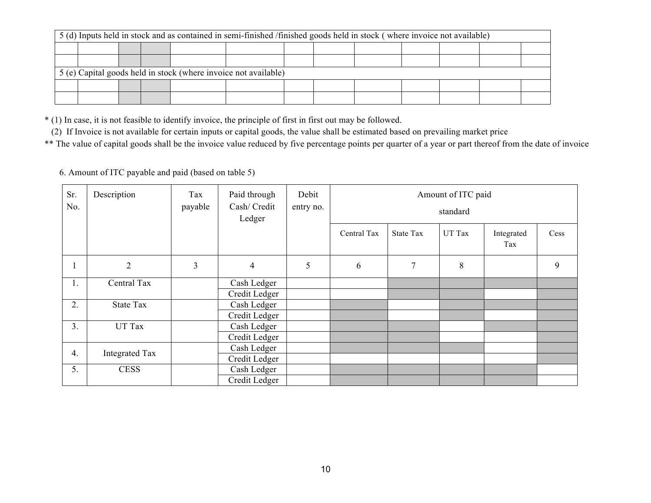| 5 (d) Inputs held in stock and as contained in semi-finished /finished goods held in stock (where invoice not available) |  |  |  |                                                                 |  |  |  |  |  |  |  |  |
|--------------------------------------------------------------------------------------------------------------------------|--|--|--|-----------------------------------------------------------------|--|--|--|--|--|--|--|--|
|                                                                                                                          |  |  |  |                                                                 |  |  |  |  |  |  |  |  |
|                                                                                                                          |  |  |  |                                                                 |  |  |  |  |  |  |  |  |
|                                                                                                                          |  |  |  | 5 (e) Capital goods held in stock (where invoice not available) |  |  |  |  |  |  |  |  |
|                                                                                                                          |  |  |  |                                                                 |  |  |  |  |  |  |  |  |
|                                                                                                                          |  |  |  |                                                                 |  |  |  |  |  |  |  |  |

\* (1) In case, it is not feasible to identify invoice, the principle of first in first out may be followed.

(2) If Invoice is not available for certain inputs or capital goods, the value shall be estimated based on prevailing market price

\*\* The value of capital goods shall be the invoice value reduced by five percentage points per quarter of a year or part thereof from the date of invoice

6. Amount of ITC payable and paid (based on table 5)

| Sr.<br>No.   | Description    | Tax<br>payable | Paid through<br>Cash/ Credit<br>Ledger | Debit<br>entry no. |             | Amount of ITC paid<br>standard |        |                   |      |  |  |  |  |
|--------------|----------------|----------------|----------------------------------------|--------------------|-------------|--------------------------------|--------|-------------------|------|--|--|--|--|
|              |                |                |                                        |                    | Central Tax | State Tax                      | UT Tax | Integrated<br>Tax | Cess |  |  |  |  |
| $\mathbf{1}$ | $\overline{2}$ | 3              | $\overline{4}$                         | 5                  | 6           | $\tau$                         | 8      |                   | 9    |  |  |  |  |
| 1.           | Central Tax    |                | Cash Ledger                            |                    |             |                                |        |                   |      |  |  |  |  |
|              |                |                | Credit Ledger                          |                    |             |                                |        |                   |      |  |  |  |  |
| 2.           | State Tax      |                | Cash Ledger                            |                    |             |                                |        |                   |      |  |  |  |  |
|              |                |                | Credit Ledger                          |                    |             |                                |        |                   |      |  |  |  |  |
| 3.           | UT Tax         |                | Cash Ledger                            |                    |             |                                |        |                   |      |  |  |  |  |
|              |                |                | Credit Ledger                          |                    |             |                                |        |                   |      |  |  |  |  |
| 4.           |                |                | Cash Ledger                            |                    |             |                                |        |                   |      |  |  |  |  |
|              | Integrated Tax |                | Credit Ledger                          |                    |             |                                |        |                   |      |  |  |  |  |
| 5.           | <b>CESS</b>    |                | Cash Ledger                            |                    |             |                                |        |                   |      |  |  |  |  |
|              |                |                | Credit Ledger                          |                    |             |                                |        |                   |      |  |  |  |  |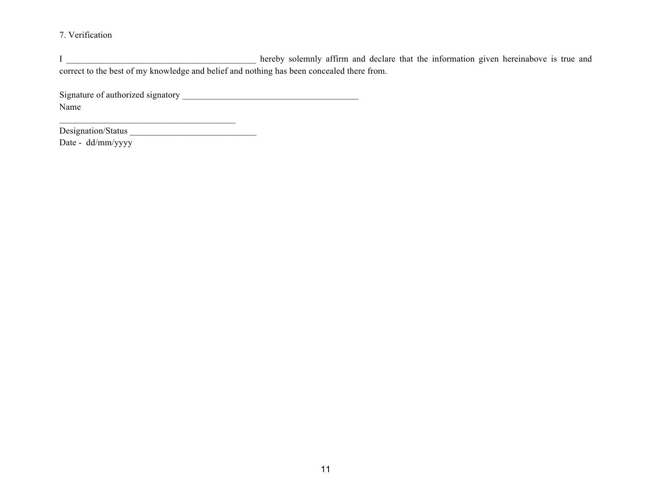7. Verification

I \_\_\_\_\_\_\_\_\_\_\_\_\_\_\_\_\_\_\_\_\_\_\_\_\_\_\_\_\_\_\_\_\_\_\_\_\_\_\_\_\_\_ hereby solemnly affirm and declare that the information given hereinabove is true and correct to the best of my knowledge and belief and nothing has been concealed there from.

Signature of authorized signatory \_\_\_\_\_\_\_\_\_\_\_\_\_\_\_\_\_\_\_\_\_\_\_\_\_\_\_\_\_\_\_\_\_\_\_\_\_\_\_ Name

 $\mathcal{L}_\text{max} = \mathcal{L}_\text{max} = \mathcal{L}_\text{max} = \mathcal{L}_\text{max} = \mathcal{L}_\text{max}$ 

Designation/Status \_\_\_\_\_\_\_\_\_\_\_\_\_\_\_\_\_\_\_\_\_\_\_\_\_\_\_\_

Date - dd/mm/yyyy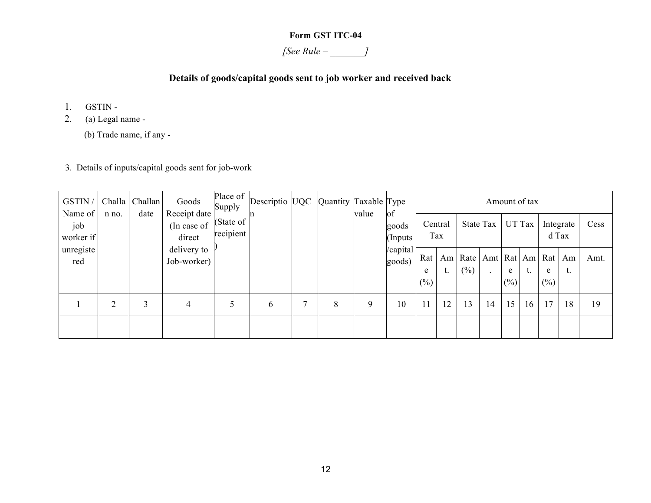#### **Form GST ITC-04**

*[See Rule – \_\_\_\_\_\_\_]*

#### **Details of goods/capital goods sent to job worker and received back**

- 1. GSTIN -
- 2. (a) Legal name
	- (b) Trade name, if any -
- 3. Details of inputs/capital goods sent for job-work

| GSTIN /                     | Challa | Challan | Goods                                 | Place of $\vert$<br>Supply | Descriptio UQC | Quantity Taxable Type |       |                         |                      | Amount of tax  |        |                                             |             |        |             |                    |      |
|-----------------------------|--------|---------|---------------------------------------|----------------------------|----------------|-----------------------|-------|-------------------------|----------------------|----------------|--------|---------------------------------------------|-------------|--------|-------------|--------------------|------|
| Name of<br>job<br>worker if | n no.  | date    | Receipt date<br>(In case of<br>direct | (State of $ $<br>recipient |                |                       | value | of<br>goods<br>(Inputs) |                      | Central<br>Tax |        | State Tax                                   |             | UT Tax |             | Integrate<br>d Tax | Cess |
| unregiste<br>red            |        |         | delivery to<br>Job-worker)            |                            |                |                       |       | /capital<br>goods)      | Rat  <br>e<br>$(\%)$ | Am<br>t.       | $(\%)$ | Rate   Amt   Rat   Am   Rat   Am<br>$\cdot$ | e<br>$(\%)$ | t.     | e<br>$(\%)$ | ι.                 | Amt. |
|                             | C      | 3       | 4                                     | 5                          | 6              | 8                     | 9     | 10                      |                      | 12             | 13     | 14                                          | 15          | 16     | 17          | 18                 | 19   |
|                             |        |         |                                       |                            |                |                       |       |                         |                      |                |        |                                             |             |        |             |                    |      |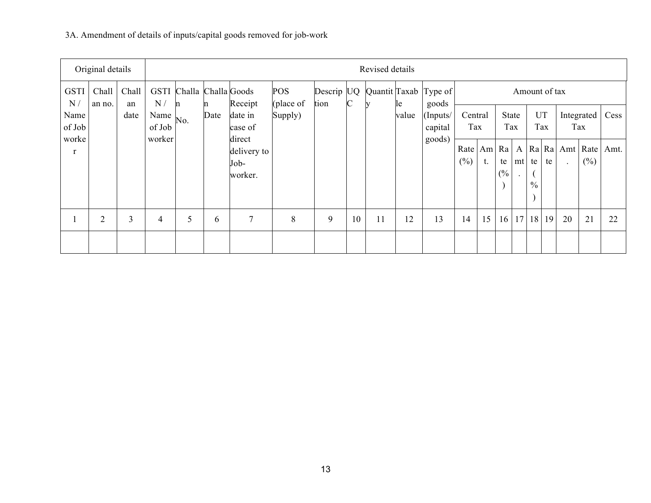# 3A. Amendment of details of inputs/capital goods removed for job-work

|                       | Original details |             | Revised details |                          |           |                                          |                         |                    |              |    |       |                                |                |              |              |  |                        |           |    |                                   |      |
|-----------------------|------------------|-------------|-----------------|--------------------------|-----------|------------------------------------------|-------------------------|--------------------|--------------|----|-------|--------------------------------|----------------|--------------|--------------|--|------------------------|-----------|----|-----------------------------------|------|
| <b>GSTI</b><br>N/     | Chall<br>an no.  | Chall<br>an | N/              | GSTI Challa Challa Goods |           | Receipt                                  | <b>POS</b><br>(place of | Descrip UQ<br>tion | $\mathsf{C}$ |    | le    | Quantit Taxab Type of<br>goods | Amount of tax  |              |              |  |                        |           |    |                                   |      |
| Name<br>of Job        |                  | date        | Name<br>of Job  | No.                      | n<br>Date | date in<br>case of                       | Supply)                 |                    |              |    | value | (Inputs/<br>capital            | Central<br>Tax |              | State<br>Tax |  |                        | UT<br>Tax |    | Integrated<br>Tax                 | Cess |
| worke<br>$\mathbf{r}$ |                  |             | worker          |                          |           | direct<br>delivery to<br>Job-<br>worker. |                         |                    |              |    |       | goods)                         | Rate<br>$(\%)$ | Am Ra <br>t. | te<br>(%)    |  | mt te<br>$\frac{0}{0}$ | te        |    | A   Ra   Ra   Amt   Rate  <br>(%) | Amt. |
|                       | $\overline{2}$   | 3           | 4               | 5                        | 6         | 7                                        | 8                       | 9                  | 10           | 11 | 12    | 13                             | 14             | 15           | 16           |  | 17 18 19               |           | 20 | 21                                | 22   |
|                       |                  |             |                 |                          |           |                                          |                         |                    |              |    |       |                                |                |              |              |  |                        |           |    |                                   |      |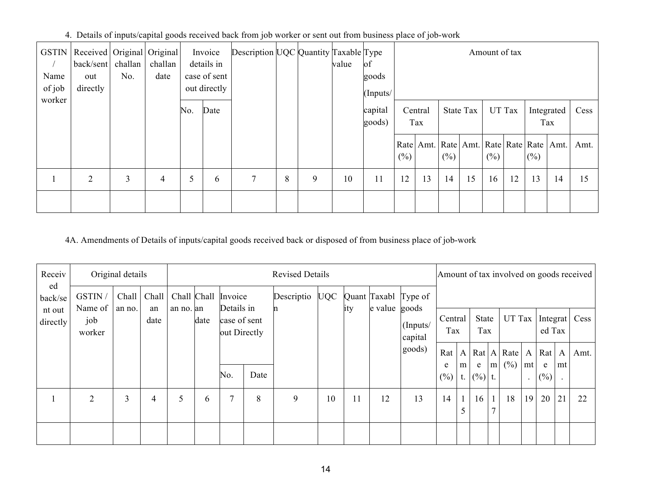|  | 4. Details of inputs/capital goods received back from job worker or sent out from business place of job-work |  |  |
|--|--------------------------------------------------------------------------------------------------------------|--|--|
|  |                                                                                                              |  |  |

| <b>GSTIN</b><br>Name<br>of job | Received   Original   Original  <br>back/sent challan<br>out<br>directly | No. | challan<br>date |     | Invoice<br>details in<br>case of sent<br>out directly | Description UQC Quantity Taxable Type |   |   | value | of<br>goods<br>(Inputs/ |         | Amount of tax                                         |        |                  |        |        |        |                   |      |
|--------------------------------|--------------------------------------------------------------------------|-----|-----------------|-----|-------------------------------------------------------|---------------------------------------|---|---|-------|-------------------------|---------|-------------------------------------------------------|--------|------------------|--------|--------|--------|-------------------|------|
| worker                         |                                                                          |     |                 | No. | Date                                                  |                                       |   |   |       | capital<br>goods)       |         | Central<br>Tax                                        |        | <b>State Tax</b> |        | UT Tax |        | Integrated<br>Tax | Cess |
|                                |                                                                          |     |                 |     |                                                       |                                       |   |   |       |                         | $(\% )$ | Rate   Amt.   Rate   Amt.   Rate   Rate   Rate   Amt. | $(\%)$ |                  | $(\%)$ |        | $(\%)$ |                   | Amt. |
|                                | $\overline{2}$                                                           | 3   | 4               | 5   | 6                                                     | $\tau$                                | 8 | 9 | 10    | 11                      | 12      | 13                                                    | 14     | 15               | 16     | 12     | 13     | 14                | 15   |
|                                |                                                                          |     |                 |     |                                                       |                                       |   |   |       |                         |         |                                                       |        |                  |        |        |        |                   |      |

## 4A. Amendments of Details of inputs/capital goods received back or disposed of from business place of job-work

| Receiv             |                          | Original details |            |             |      |                                            |      | <b>Revised Details</b> |    |     |               |                      |          | Amount of tax involved on goods received |             |  |                                                  |                                      |                    |    |      |
|--------------------|--------------------------|------------------|------------|-------------|------|--------------------------------------------|------|------------------------|----|-----|---------------|----------------------|----------|------------------------------------------|-------------|--|--------------------------------------------------|--------------------------------------|--------------------|----|------|
| ed<br>back/se      | GSTIN/                   | Chall            | Chall      | Chall Chall |      | Invoice                                    |      | Descriptio UQC         |    |     |               | Quant Taxabl Type of |          |                                          |             |  |                                                  |                                      |                    |    |      |
| nt out<br>directly | Name of<br>job<br>worker | an no.           | an<br>date | an no. an   | date | Details in<br>case of sent<br>out Directly |      |                        |    | ity | e value goods | Central<br>Tax       |          | State<br>Tax                             |             |  |                                                  | $UT$ Tax   Integrat   Cess<br>ed Tax |                    |    |      |
|                    |                          |                  |            |             |      |                                            |      |                        |    |     |               | goods)               | Rat<br>e | m <sub>l</sub>                           | e           |  | A Rat A Rate<br>$m \left( \frac{\%}{\%} \right)$ | mt                                   | A   Rat   A  <br>e | mt | Amt. |
|                    |                          |                  |            |             |      | No.                                        | Date |                        |    |     |               |                      | (%)      |                                          | t. $(%)$ t. |  |                                                  |                                      | (%)                |    |      |
|                    | $\overline{2}$           | 3                | 4          | 5           | 6    | $\tau$                                     | 8    | 9                      | 10 | 11  | 12            | 13                   | 14       | $\mathbf{1}$                             | 16          |  | 18                                               | 19                                   | 20                 | 21 | 22   |
|                    |                          |                  |            |             |      |                                            |      |                        |    |     |               |                      |          |                                          |             |  |                                                  |                                      |                    |    |      |